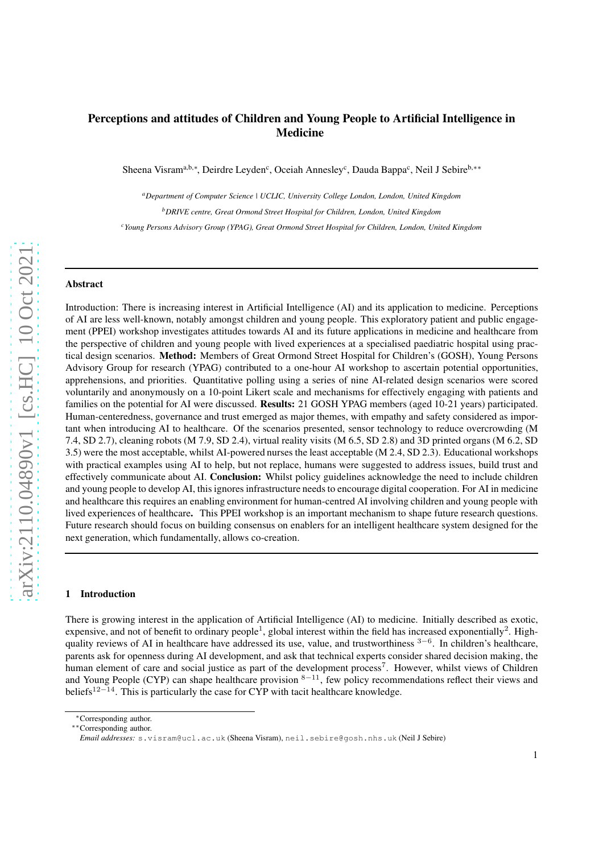# Perceptions and attitudes of Children and Young People to Artificial Intelligence in Medicine

Sheena Visram<sup>a,b,∗</sup>, Deirdre Leyden<sup>c</sup>, Oceiah Annesley<sup>c</sup>, Dauda Bappa<sup>c</sup>, Neil J Sebire<sup>b,∗∗</sup>

*<sup>a</sup>Department of Computer Science | UCLIC, University College London, London, United Kingdom <sup>b</sup>DRIVE centre, Great Ormond Street Hospital for Children, London, United Kingdom <sup>c</sup>Young Persons Advisory Group (YPAG), Great Ormond Street Hospital for Children, London, United Kingdom*

#### Abstract

Introduction: There is increasing interest in Artificial Intelligence (AI) and its application to medicine. Perceptions of AI are less well-known, notably amongst children and young people. This exploratory patient and public engagement (PPEI) workshop investigates attitudes towards AI and its future applications in medicine and healthcare from the perspective of children and young people with lived experiences at a specialised paediatric hospital using practical design scenarios. Method: Members of Great Ormond Street Hospital for Children's (GOSH), Young Persons Advisory Group for research (YPAG) contributed to a one-hour AI workshop to ascertain potential opportunities, apprehensions, and priorities. Quantitative polling using a series of nine AI-related design scenarios were scored voluntarily and anonymously on a 10-point Likert scale and mechanisms for effectively engaging with patients and families on the potential for AI were discussed. Results: 21 GOSH YPAG members (aged 10-21 years) participated. Human-centeredness, governance and trust emerged as major themes, with empathy and safety considered as important when introducing AI to healthcare. Of the scenarios presented, sensor technology to reduce overcrowding (M 7.4, SD 2.7), cleaning robots (M 7.9, SD 2.4), virtual reality visits (M 6.5, SD 2.8) and 3D printed organs (M 6.2, SD 3.5) were the most acceptable, whilst AI-powered nurses the least acceptable (M 2.4, SD 2.3). Educational workshops with practical examples using AI to help, but not replace, humans were suggested to address issues, build trust and effectively communicate about AI. Conclusion: Whilst policy guidelines acknowledge the need to include children and young people to develop AI, this ignores infrastructure needs to encourage digital cooperation. For AI in medicine and healthcare this requires an enabling environment for human-centred AI involving children and young people with lived experiences of healthcare. This PPEI workshop is an important mechanism to shape future research questions. Future research should focus on building consensus on enablers for an intelligent healthcare system designed for the next generation, which fundamentally, allows co-creation.

#### 1 Introduction

There is growing interest in the application of Artificial Intelligence (AI) to medicine. Initially described as exotic, expensive, and not of benefit to ordinary people<sup>1</sup>, global interest within the field has increased exponentially<sup>2</sup>. Highquality reviews of AI in healthcare have addressed its use, value, and trustworthiness <sup>3–6</sup>. In children's healthcare, parents ask for openness during AI development, and ask that technical experts consider shared decision making, the human element of care and social justice as part of the development process<sup>7</sup>. However, whilst views of Children and Young People (CYP) can shape healthcare provision <sup>8−11</sup>, few policy recommendations reflect their views and beliefs<sup>12−14</sup>. This is particularly the case for CYP with tacit healthcare knowledge.

<sup>∗</sup>Corresponding author.

<sup>∗∗</sup>Corresponding author.

*Email addresses:* s.visram@ucl.ac.uk (Sheena Visram), neil.sebire@gosh.nhs.uk (Neil J Sebire)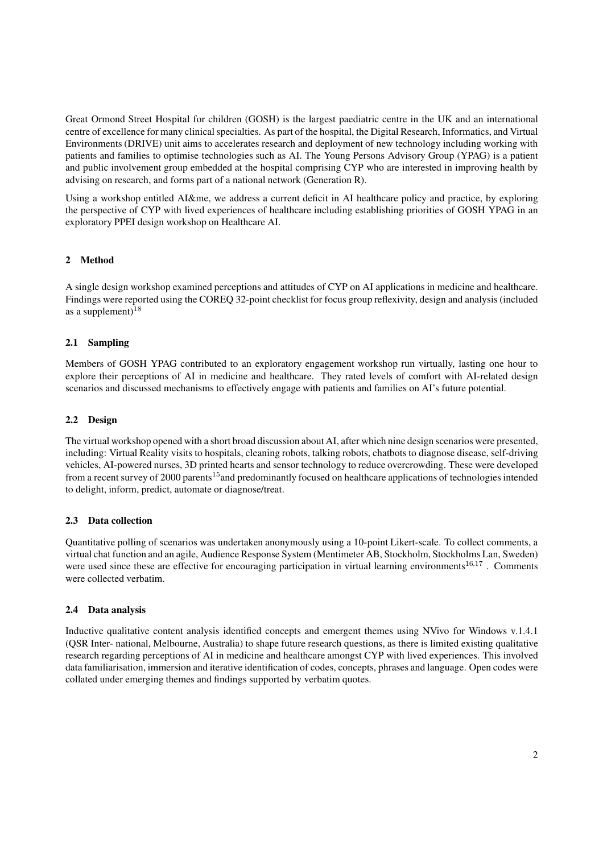Great Ormond Street Hospital for children (GOSH) is the largest paediatric centre in the UK and an international centre of excellence for many clinical specialties. As part of the hospital, the Digital Research, Informatics, and Virtual Environments (DRIVE) unit aims to accelerates research and deployment of new technology including working with patients and families to optimise technologies such as AI. The Young Persons Advisory Group (YPAG) is a patient and public involvement group embedded at the hospital comprising CYP who are interested in improving health by advising on research, and forms part of a national network (Generation R).

Using a workshop entitled AI&me, we address a current deficit in AI healthcare policy and practice, by exploring the perspective of CYP with lived experiences of healthcare including establishing priorities of GOSH YPAG in an exploratory PPEI design workshop on Healthcare AI.

# 2 Method

A single design workshop examined perceptions and attitudes of CYP on AI applications in medicine and healthcare. Findings were reported using the COREQ 32-point checklist for focus group reflexivity, design and analysis (included as a supplement) $18$ 

### 2.1 Sampling

Members of GOSH YPAG contributed to an exploratory engagement workshop run virtually, lasting one hour to explore their perceptions of AI in medicine and healthcare. They rated levels of comfort with AI-related design scenarios and discussed mechanisms to effectively engage with patients and families on AI's future potential.

#### 2.2 Design

The virtual workshop opened with a short broad discussion about AI, after which nine design scenarios were presented, including: Virtual Reality visits to hospitals, cleaning robots, talking robots, chatbots to diagnose disease, self-driving vehicles, AI-powered nurses, 3D printed hearts and sensor technology to reduce overcrowding. These were developed from a recent survey of 2000 parents<sup>15</sup> and predominantly focused on healthcare applications of technologies intended to delight, inform, predict, automate or diagnose/treat.

#### 2.3 Data collection

Quantitative polling of scenarios was undertaken anonymously using a 10-point Likert-scale. To collect comments, a virtual chat function and an agile, Audience Response System (Mentimeter AB, Stockholm, Stockholms Lan, Sweden) were used since these are effective for encouraging participation in virtual learning environments<sup>16,17</sup>. Comments were collected verbatim.

#### 2.4 Data analysis

Inductive qualitative content analysis identified concepts and emergent themes using NVivo for Windows v.1.4.1 (QSR Inter- national, Melbourne, Australia) to shape future research questions, as there is limited existing qualitative research regarding perceptions of AI in medicine and healthcare amongst CYP with lived experiences. This involved data familiarisation, immersion and iterative identification of codes, concepts, phrases and language. Open codes were collated under emerging themes and findings supported by verbatim quotes.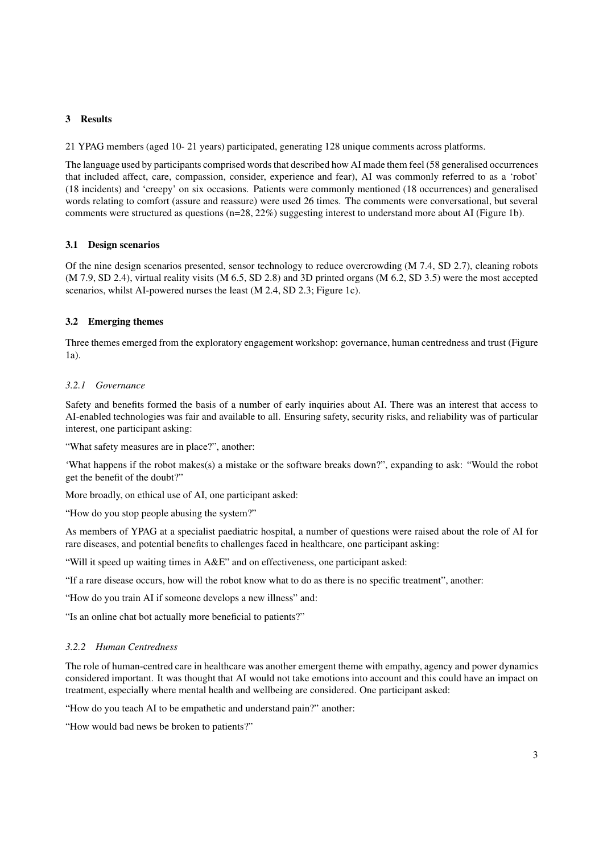# 3 Results

21 YPAG members (aged 10- 21 years) participated, generating 128 unique comments across platforms.

The language used by participants comprised words that described how AI made them feel (58 generalised occurrences that included affect, care, compassion, consider, experience and fear), AI was commonly referred to as a 'robot' (18 incidents) and 'creepy' on six occasions. Patients were commonly mentioned (18 occurrences) and generalised words relating to comfort (assure and reassure) were used 26 times. The comments were conversational, but several comments were structured as questions (n=28, 22%) suggesting interest to understand more about AI (Figure 1b).

### 3.1 Design scenarios

Of the nine design scenarios presented, sensor technology to reduce overcrowding (M 7.4, SD 2.7), cleaning robots (M 7.9, SD 2.4), virtual reality visits (M 6.5, SD 2.8) and 3D printed organs (M 6.2, SD 3.5) were the most accepted scenarios, whilst AI-powered nurses the least (M 2.4, SD 2.3; Figure 1c).

# 3.2 Emerging themes

Three themes emerged from the exploratory engagement workshop: governance, human centredness and trust (Figure  $1a$ 

#### *3.2.1 Governance*

Safety and benefits formed the basis of a number of early inquiries about AI. There was an interest that access to AI-enabled technologies was fair and available to all. Ensuring safety, security risks, and reliability was of particular interest, one participant asking:

"What safety measures are in place?", another:

'What happens if the robot makes(s) a mistake or the software breaks down?", expanding to ask: "Would the robot get the benefit of the doubt?"

More broadly, on ethical use of AI, one participant asked:

"How do you stop people abusing the system?"

As members of YPAG at a specialist paediatric hospital, a number of questions were raised about the role of AI for rare diseases, and potential benefits to challenges faced in healthcare, one participant asking:

"Will it speed up waiting times in A&E" and on effectiveness, one participant asked:

"If a rare disease occurs, how will the robot know what to do as there is no specific treatment", another:

"How do you train AI if someone develops a new illness" and:

"Is an online chat bot actually more beneficial to patients?"

### *3.2.2 Human Centredness*

The role of human-centred care in healthcare was another emergent theme with empathy, agency and power dynamics considered important. It was thought that AI would not take emotions into account and this could have an impact on treatment, especially where mental health and wellbeing are considered. One participant asked:

"How do you teach AI to be empathetic and understand pain?" another:

"How would bad news be broken to patients?"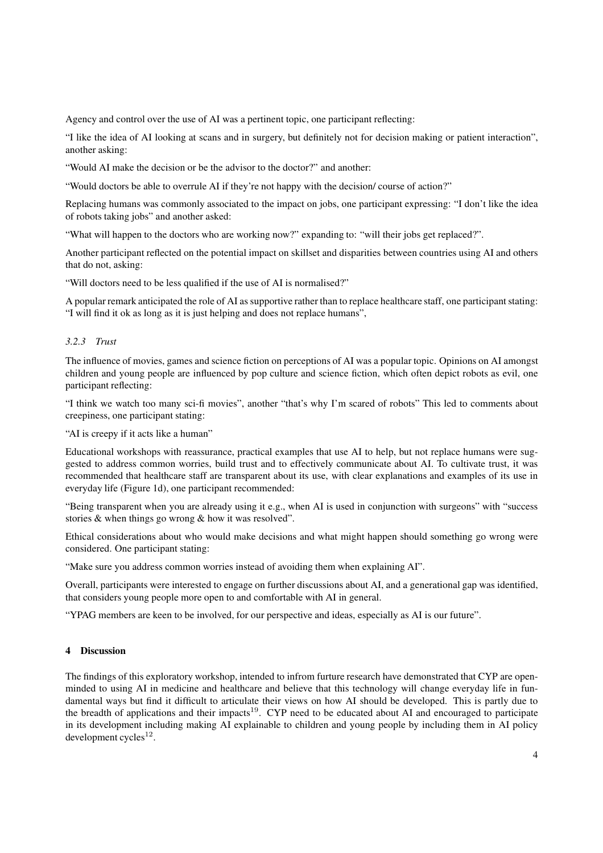Agency and control over the use of AI was a pertinent topic, one participant reflecting:

"I like the idea of AI looking at scans and in surgery, but definitely not for decision making or patient interaction", another asking:

"Would AI make the decision or be the advisor to the doctor?" and another:

"Would doctors be able to overrule AI if they're not happy with the decision/ course of action?"

Replacing humans was commonly associated to the impact on jobs, one participant expressing: "I don't like the idea of robots taking jobs" and another asked:

"What will happen to the doctors who are working now?" expanding to: "will their jobs get replaced?".

Another participant reflected on the potential impact on skillset and disparities between countries using AI and others that do not, asking:

"Will doctors need to be less qualified if the use of AI is normalised?"

A popular remark anticipated the role of AI as supportive rather than to replace healthcare staff, one participant stating: "I will find it ok as long as it is just helping and does not replace humans",

### *3.2.3 Trust*

The influence of movies, games and science fiction on perceptions of AI was a popular topic. Opinions on AI amongst children and young people are influenced by pop culture and science fiction, which often depict robots as evil, one participant reflecting:

"I think we watch too many sci-fi movies", another "that's why I'm scared of robots" This led to comments about creepiness, one participant stating:

"AI is creepy if it acts like a human"

Educational workshops with reassurance, practical examples that use AI to help, but not replace humans were suggested to address common worries, build trust and to effectively communicate about AI. To cultivate trust, it was recommended that healthcare staff are transparent about its use, with clear explanations and examples of its use in everyday life (Figure 1d), one participant recommended:

"Being transparent when you are already using it e.g., when AI is used in conjunction with surgeons" with "success stories & when things go wrong & how it was resolved".

Ethical considerations about who would make decisions and what might happen should something go wrong were considered. One participant stating:

"Make sure you address common worries instead of avoiding them when explaining AI".

Overall, participants were interested to engage on further discussions about AI, and a generational gap was identified, that considers young people more open to and comfortable with AI in general.

"YPAG members are keen to be involved, for our perspective and ideas, especially as AI is our future".

# 4 Discussion

The findings of this exploratory workshop, intended to infrom furture research have demonstrated that CYP are openminded to using AI in medicine and healthcare and believe that this technology will change everyday life in fundamental ways but find it difficult to articulate their views on how AI should be developed. This is partly due to the breadth of applications and their impacts<sup>19</sup>. CYP need to be educated about AI and encouraged to participate in its development including making AI explainable to children and young people by including them in AI policy  $development cycles<sup>12</sup>$ .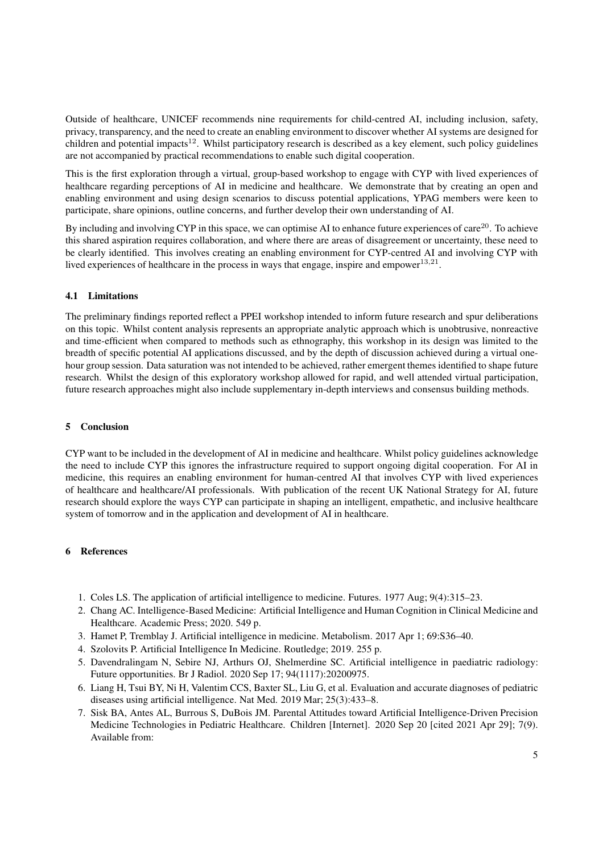Outside of healthcare, UNICEF recommends nine requirements for child-centred AI, including inclusion, safety, privacy, transparency, and the need to create an enabling environment to discover whether AI systems are designed for children and potential impacts<sup>12</sup>. Whilst participatory research is described as a key element, such policy guidelines are not accompanied by practical recommendations to enable such digital cooperation.

This is the first exploration through a virtual, group-based workshop to engage with CYP with lived experiences of healthcare regarding perceptions of AI in medicine and healthcare. We demonstrate that by creating an open and enabling environment and using design scenarios to discuss potential applications, YPAG members were keen to participate, share opinions, outline concerns, and further develop their own understanding of AI.

By including and involving CYP in this space, we can optimise AI to enhance future experiences of care $^{20}$ . To achieve this shared aspiration requires collaboration, and where there are areas of disagreement or uncertainty, these need to be clearly identified. This involves creating an enabling environment for CYP-centred AI and involving CYP with lived experiences of healthcare in the process in ways that engage, inspire and empower $^{13,21}$ .

# 4.1 Limitations

The preliminary findings reported reflect a PPEI workshop intended to inform future research and spur deliberations on this topic. Whilst content analysis represents an appropriate analytic approach which is unobtrusive, nonreactive and time-efficient when compared to methods such as ethnography, this workshop in its design was limited to the breadth of specific potential AI applications discussed, and by the depth of discussion achieved during a virtual onehour group session. Data saturation was not intended to be achieved, rather emergent themes identified to shape future research. Whilst the design of this exploratory workshop allowed for rapid, and well attended virtual participation, future research approaches might also include supplementary in-depth interviews and consensus building methods.

# 5 Conclusion

CYP want to be included in the development of AI in medicine and healthcare. Whilst policy guidelines acknowledge the need to include CYP this ignores the infrastructure required to support ongoing digital cooperation. For AI in medicine, this requires an enabling environment for human-centred AI that involves CYP with lived experiences of healthcare and healthcare/AI professionals. With publication of the recent UK National Strategy for AI, future research should explore the ways CYP can participate in shaping an intelligent, empathetic, and inclusive healthcare system of tomorrow and in the application and development of AI in healthcare.

#### 6 References

- 1. Coles LS. The application of artificial intelligence to medicine. Futures. 1977 Aug; 9(4):315–23.
- 2. Chang AC. Intelligence-Based Medicine: Artificial Intelligence and Human Cognition in Clinical Medicine and Healthcare. Academic Press; 2020. 549 p.
- 3. Hamet P, Tremblay J. Artificial intelligence in medicine. Metabolism. 2017 Apr 1; 69:S36–40.
- 4. Szolovits P. Artificial Intelligence In Medicine. Routledge; 2019. 255 p.
- 5. Davendralingam N, Sebire NJ, Arthurs OJ, Shelmerdine SC. Artificial intelligence in paediatric radiology: Future opportunities. Br J Radiol. 2020 Sep 17; 94(1117):20200975.
- 6. Liang H, Tsui BY, Ni H, Valentim CCS, Baxter SL, Liu G, et al. Evaluation and accurate diagnoses of pediatric diseases using artificial intelligence. Nat Med. 2019 Mar; 25(3):433–8.
- 7. Sisk BA, Antes AL, Burrous S, DuBois JM. Parental Attitudes toward Artificial Intelligence-Driven Precision Medicine Technologies in Pediatric Healthcare. Children [Internet]. 2020 Sep 20 [cited 2021 Apr 29]; 7(9). Available from: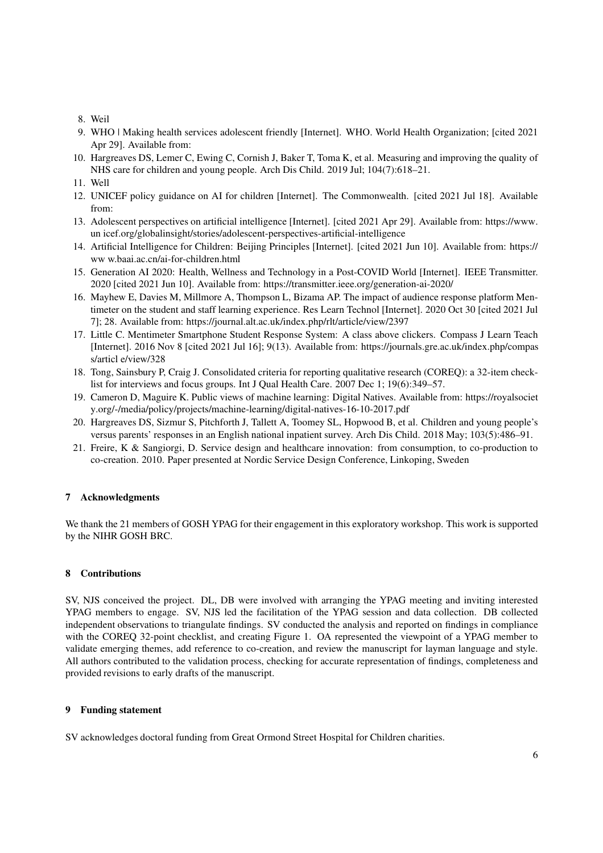- 8. Weil
- 9. WHO | Making health services adolescent friendly [Internet]. WHO. World Health Organization; [cited 2021 Apr 29]. Available from:
- 10. Hargreaves DS, Lemer C, Ewing C, Cornish J, Baker T, Toma K, et al. Measuring and improving the quality of NHS care for children and young people. Arch Dis Child. 2019 Jul; 104(7):618–21.
- 11. Well
- 12. UNICEF policy guidance on AI for children [Internet]. The Commonwealth. [cited 2021 Jul 18]. Available from:
- 13. Adolescent perspectives on artificial intelligence [Internet]. [cited 2021 Apr 29]. Available from: https://www. un icef.org/globalinsight/stories/adolescent-perspectives-artificial-intelligence
- 14. Artificial Intelligence for Children: Beijing Principles [Internet]. [cited 2021 Jun 10]. Available from: https:// ww w.baai.ac.cn/ai-for-children.html
- 15. Generation AI 2020: Health, Wellness and Technology in a Post-COVID World [Internet]. IEEE Transmitter. 2020 [cited 2021 Jun 10]. Available from: https://transmitter.ieee.org/generation-ai-2020/
- 16. Mayhew E, Davies M, Millmore A, Thompson L, Bizama AP. The impact of audience response platform Mentimeter on the student and staff learning experience. Res Learn Technol [Internet]. 2020 Oct 30 [cited 2021 Jul 7]; 28. Available from: https://journal.alt.ac.uk/index.php/rlt/article/view/2397
- 17. Little C. Mentimeter Smartphone Student Response System: A class above clickers. Compass J Learn Teach [Internet]. 2016 Nov 8 [cited 2021 Jul 16]; 9(13). Available from: https://journals.gre.ac.uk/index.php/compas s/articl e/view/328
- 18. Tong, Sainsbury P, Craig J. Consolidated criteria for reporting qualitative research (COREQ): a 32-item checklist for interviews and focus groups. Int J Qual Health Care. 2007 Dec 1; 19(6):349–57.
- 19. Cameron D, Maguire K. Public views of machine learning: Digital Natives. Available from: https://royalsociet y.org/-/media/policy/projects/machine-learning/digital-natives-16-10-2017.pdf
- 20. Hargreaves DS, Sizmur S, Pitchforth J, Tallett A, Toomey SL, Hopwood B, et al. Children and young people's versus parents' responses in an English national inpatient survey. Arch Dis Child. 2018 May; 103(5):486–91.
- 21. Freire, K & Sangiorgi, D. Service design and healthcare innovation: from consumption, to co-production to co-creation. 2010. Paper presented at Nordic Service Design Conference, Linkoping, Sweden

#### 7 Acknowledgments

We thank the 21 members of GOSH YPAG for their engagement in this exploratory workshop. This work is supported by the NIHR GOSH BRC.

# 8 Contributions

SV, NJS conceived the project. DL, DB were involved with arranging the YPAG meeting and inviting interested YPAG members to engage. SV, NJS led the facilitation of the YPAG session and data collection. DB collected independent observations to triangulate findings. SV conducted the analysis and reported on findings in compliance with the COREQ 32-point checklist, and creating Figure 1. OA represented the viewpoint of a YPAG member to validate emerging themes, add reference to co-creation, and review the manuscript for layman language and style. All authors contributed to the validation process, checking for accurate representation of findings, completeness and provided revisions to early drafts of the manuscript.

#### 9 Funding statement

SV acknowledges doctoral funding from Great Ormond Street Hospital for Children charities.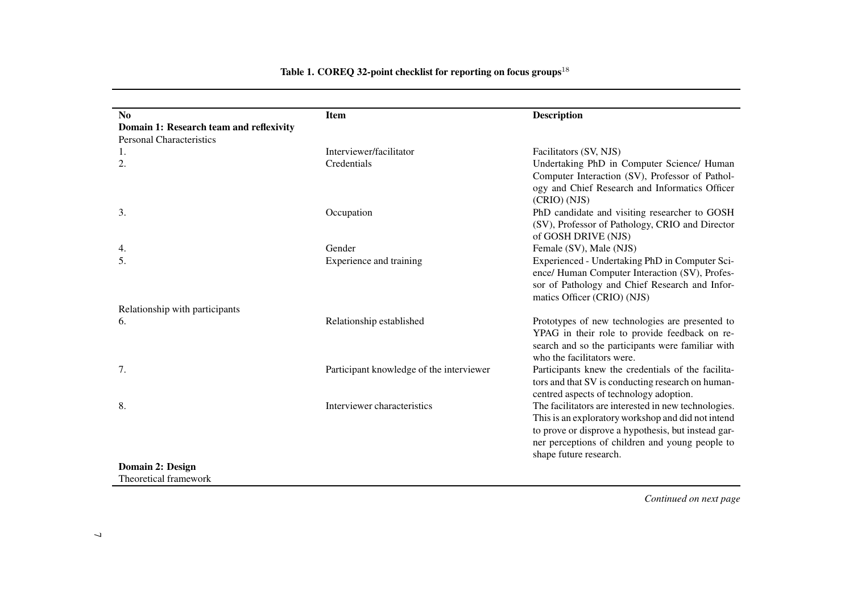| N <sub>0</sub>                          | <b>Item</b>                              | <b>Description</b>                                                                                                                                                                                                                             |
|-----------------------------------------|------------------------------------------|------------------------------------------------------------------------------------------------------------------------------------------------------------------------------------------------------------------------------------------------|
| Domain 1: Research team and reflexivity |                                          |                                                                                                                                                                                                                                                |
| <b>Personal Characteristics</b>         |                                          |                                                                                                                                                                                                                                                |
| 1.                                      | Interviewer/facilitator                  | Facilitators (SV, NJS)                                                                                                                                                                                                                         |
| 2.                                      | Credentials                              | Undertaking PhD in Computer Science/ Human<br>Computer Interaction (SV), Professor of Pathol-<br>ogy and Chief Research and Informatics Officer<br>(CRIO) (NJS)                                                                                |
| 3.                                      | Occupation                               | PhD candidate and visiting researcher to GOSH<br>(SV), Professor of Pathology, CRIO and Director<br>of GOSH DRIVE (NJS)                                                                                                                        |
| 4.                                      | Gender                                   | Female (SV), Male (NJS)                                                                                                                                                                                                                        |
| 5.                                      | Experience and training                  | Experienced - Undertaking PhD in Computer Sci-<br>ence/ Human Computer Interaction (SV), Profes-<br>sor of Pathology and Chief Research and Infor-<br>matics Officer (CRIO) (NJS)                                                              |
| Relationship with participants          |                                          |                                                                                                                                                                                                                                                |
| 6.                                      | Relationship established                 | Prototypes of new technologies are presented to<br>YPAG in their role to provide feedback on re-<br>search and so the participants were familiar with<br>who the facilitators were.                                                            |
| 7.                                      | Participant knowledge of the interviewer | Participants knew the credentials of the facilita-<br>tors and that SV is conducting research on human-<br>centred aspects of technology adoption.                                                                                             |
| 8.                                      | Interviewer characteristics              | The facilitators are interested in new technologies.<br>This is an exploratory workshop and did not intend<br>to prove or disprove a hypothesis, but instead gar-<br>ner perceptions of children and young people to<br>shape future research. |
| Domain 2: Design                        |                                          |                                                                                                                                                                                                                                                |
| Theoretical framework                   |                                          |                                                                                                                                                                                                                                                |

Table 1. COREQ 32-point checklist for reporting on focus groups  $^{18}$ 

*Continued on next page*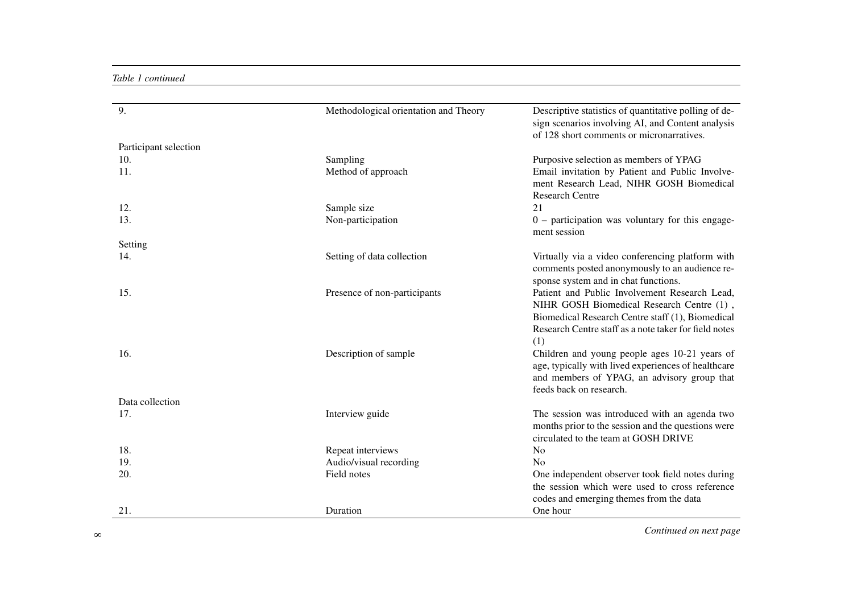# *Table 1 continued*

| 9.                    |                                       |                                                                                                            |
|-----------------------|---------------------------------------|------------------------------------------------------------------------------------------------------------|
|                       | Methodological orientation and Theory | Descriptive statistics of quantitative polling of de-<br>sign scenarios involving AI, and Content analysis |
|                       |                                       | of 128 short comments or micronarratives.                                                                  |
| Participant selection |                                       |                                                                                                            |
| 10.                   | Sampling                              | Purposive selection as members of YPAG                                                                     |
| 11.                   | Method of approach                    | Email invitation by Patient and Public Involve-                                                            |
|                       |                                       | ment Research Lead, NIHR GOSH Biomedical                                                                   |
|                       |                                       | <b>Research Centre</b>                                                                                     |
| 12.                   | Sample size                           | 21                                                                                                         |
| 13.                   | Non-participation                     | $0$ – participation was voluntary for this engage-                                                         |
|                       |                                       | ment session                                                                                               |
| Setting               |                                       |                                                                                                            |
| 14.                   | Setting of data collection            | Virtually via a video conferencing platform with                                                           |
|                       |                                       | comments posted anonymously to an audience re-                                                             |
|                       |                                       | sponse system and in chat functions.                                                                       |
| 15.                   | Presence of non-participants          | Patient and Public Involvement Research Lead,                                                              |
|                       |                                       | NIHR GOSH Biomedical Research Centre (1),                                                                  |
|                       |                                       | Biomedical Research Centre staff (1), Biomedical                                                           |
|                       |                                       | Research Centre staff as a note taker for field notes                                                      |
|                       |                                       | (1)                                                                                                        |
| 16.                   | Description of sample                 | Children and young people ages 10-21 years of<br>age, typically with lived experiences of healthcare       |
|                       |                                       | and members of YPAG, an advisory group that                                                                |
|                       |                                       | feeds back on research.                                                                                    |
| Data collection       |                                       |                                                                                                            |
| 17.                   | Interview guide                       | The session was introduced with an agenda two                                                              |
|                       |                                       | months prior to the session and the questions were                                                         |
|                       |                                       | circulated to the team at GOSH DRIVE                                                                       |
| 18.                   | Repeat interviews                     | N <sub>o</sub>                                                                                             |
| 19.                   | Audio/visual recording                | No                                                                                                         |
| 20.                   | Field notes                           | One independent observer took field notes during                                                           |
|                       |                                       | the session which were used to cross reference                                                             |
|                       |                                       | codes and emerging themes from the data                                                                    |
| 21.                   | Duration                              | One hour                                                                                                   |

<sup>8</sup>*Continued on next page*